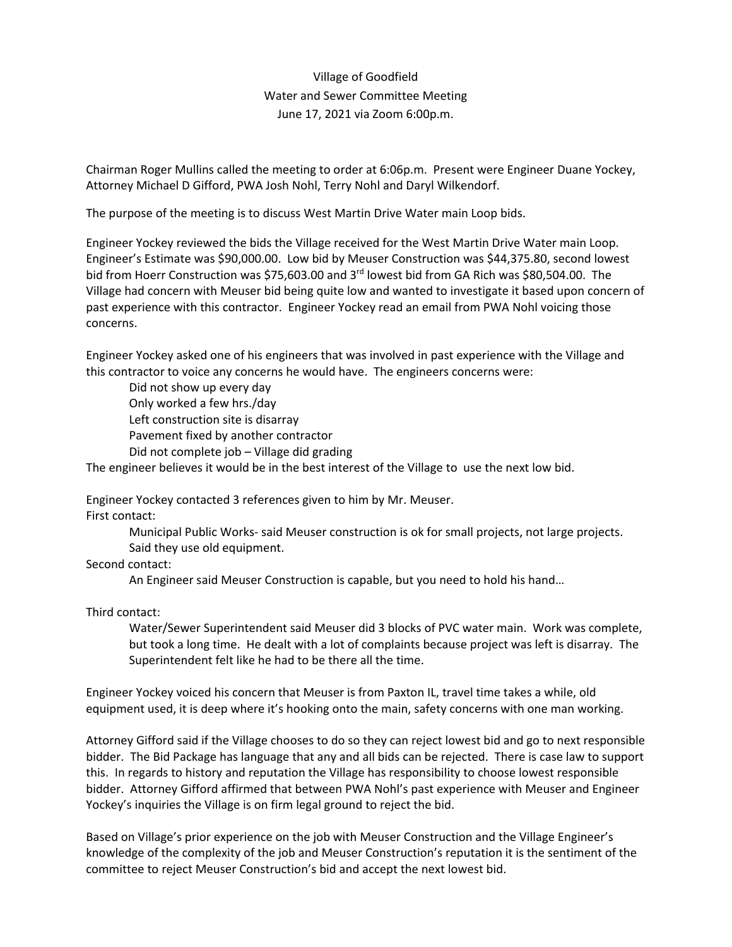Village of Goodfield Water and Sewer Committee Meeting June 17, 2021 via Zoom 6:00p.m.

Chairman Roger Mullins called the meeting to order at 6:06p.m. Present were Engineer Duane Yockey, Attorney Michael D Gifford, PWA Josh Nohl, Terry Nohl and Daryl Wilkendorf.

The purpose of the meeting is to discuss West Martin Drive Water main Loop bids.

Engineer Yockey reviewed the bids the Village received for the West Martin Drive Water main Loop. Engineer's Estimate was \$90,000.00. Low bid by Meuser Construction was \$44,375.80, second lowest bid from Hoerr Construction was \$75,603.00 and 3<sup>rd</sup> lowest bid from GA Rich was \$80,504.00. The Village had concern with Meuser bid being quite low and wanted to investigate it based upon concern of past experience with this contractor. Engineer Yockey read an email from PWA Nohl voicing those concerns.

Engineer Yockey asked one of his engineers that was involved in past experience with the Village and this contractor to voice any concerns he would have. The engineers concerns were:

Did not show up every day Only worked a few hrs./day Left construction site is disarray Pavement fixed by another contractor Did not complete job – Village did grading

The engineer believes it would be in the best interest of the Village to use the next low bid.

Engineer Yockey contacted 3 references given to him by Mr. Meuser. First contact:

> Municipal Public Works- said Meuser construction is ok for small projects, not large projects. Said they use old equipment.

Second contact:

An Engineer said Meuser Construction is capable, but you need to hold his hand…

Third contact:

Water/Sewer Superintendent said Meuser did 3 blocks of PVC water main. Work was complete, but took a long time. He dealt with a lot of complaints because project was left is disarray. The Superintendent felt like he had to be there all the time.

Engineer Yockey voiced his concern that Meuser is from Paxton IL, travel time takes a while, old equipment used, it is deep where it's hooking onto the main, safety concerns with one man working.

Attorney Gifford said if the Village chooses to do so they can reject lowest bid and go to next responsible bidder. The Bid Package has language that any and all bids can be rejected. There is case law to support this. In regards to history and reputation the Village has responsibility to choose lowest responsible bidder. Attorney Gifford affirmed that between PWA Nohl's past experience with Meuser and Engineer Yockey's inquiries the Village is on firm legal ground to reject the bid.

Based on Village's prior experience on the job with Meuser Construction and the Village Engineer's knowledge of the complexity of the job and Meuser Construction's reputation it is the sentiment of the committee to reject Meuser Construction's bid and accept the next lowest bid.